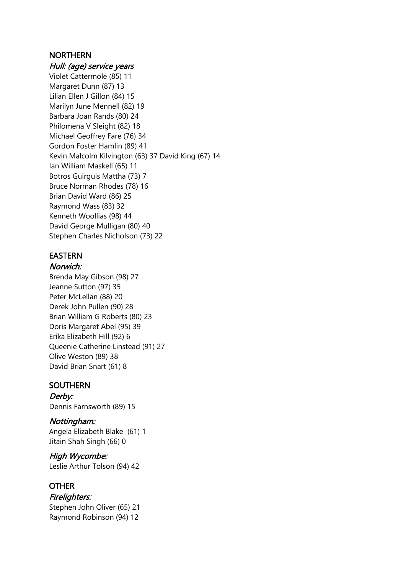## NORTHERN

#### Hull: (age) service years

Violet Cattermole (85) 11 Margaret Dunn (87) 13 Lilian Ellen J Gillon (84) 15 Marilyn June Mennell (82) 19 Barbara Joan Rands (80) 24 Philomena V Sleight (82) 18 Michael Geoffrey Fare (76) 34 Gordon Foster Hamlin (89) 41 Kevin Malcolm Kilvington (63) 37 David King (67) 14 Ian William Maskell (65) 11 Botros Guirguis Mattha (73) 7 Bruce Norman Rhodes (78) 16 Brian David Ward (86) 25 Raymond Wass (83) 32 Kenneth Woollias (98) 44 David George Mulligan (80) 40 Stephen Charles Nicholson (73) 22

## EASTERN

#### Norwich:

Brenda May Gibson (98) 27 Jeanne Sutton (97) 35 Peter McLellan (88) 20 Derek John Pullen (90) 28 Brian William G Roberts (80) 23 Doris Margaret Abel (95) 39 Erika Elizabeth Hill (92) 6 Queenie Catherine Linstead (91) 27 Olive Weston (89) 38 David Brian Snart (61) 8

### **SOUTHERN**

Derby: Dennis Farnsworth (89) 15

#### Nottingham:

Angela Elizabeth Blake (61) 1 Jitain Shah Singh (66) 0

High Wycombe: Leslie Arthur Tolson (94) 42

## **OTHER**

Firelighters: Stephen John Oliver (65) 21

Raymond Robinson (94) 12